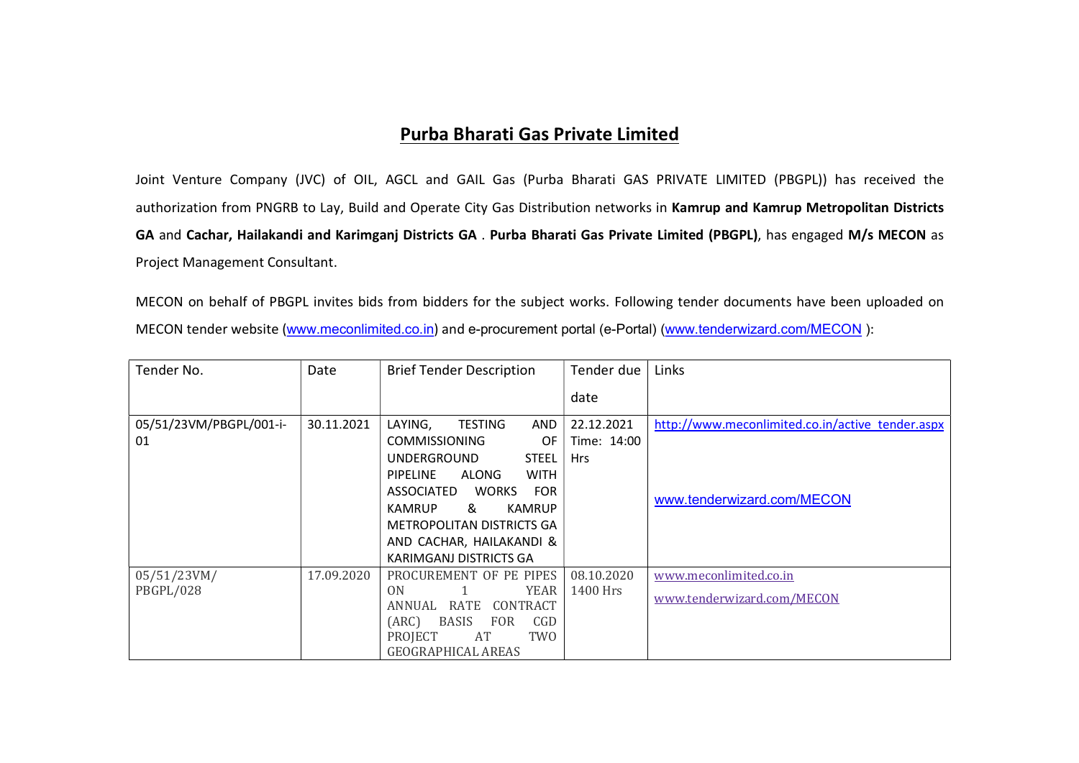## Purba Bharati Gas Private Limited

Joint Venture Company (JVC) of OIL, AGCL and GAIL Gas (Purba Bharati GAS PRIVATE LIMITED (PBGPL)) has received the authorization from PNGRB to Lay, Build and Operate City Gas Distribution networks in Kamrup and Kamrup Metropolitan Districts GA and Cachar, Hailakandi and Karimganj Districts GA . Purba Bharati Gas Private Limited (PBGPL), has engaged M/s MECON as Project Management Consultant.

MECON on behalf of PBGPL invites bids from bidders for the subject works. Following tender documents have been uploaded on MECON tender website (www.meconlimited.co.in) and e-procurement portal (e-Portal) (www.tenderwizard.com/MECON ):

| Tender No.              | Date       | <b>Brief Tender Description</b>                | Tender due  | Links                                            |
|-------------------------|------------|------------------------------------------------|-------------|--------------------------------------------------|
|                         |            |                                                | date        |                                                  |
| 05/51/23VM/PBGPL/001-i- | 30.11.2021 | LAYING,<br><b>TESTING</b><br>AND               | 22.12.2021  | http://www.meconlimited.co.in/active_tender.aspx |
| 01                      |            | <b>COMMISSIONING</b><br>OF                     | Time: 14:00 |                                                  |
|                         |            | <b>STEEL</b><br><b>UNDERGROUND</b>             | <b>Hrs</b>  |                                                  |
|                         |            | <b>ALONG</b><br><b>WITH</b><br><b>PIPELINE</b> |             |                                                  |
|                         |            | <b>WORKS</b><br><b>FOR</b><br>ASSOCIATED       |             | www.tenderwizard.com/MECON                       |
|                         |            | <b>KAMRUP</b><br><b>KAMRUP</b><br>&            |             |                                                  |
|                         |            | METROPOLITAN DISTRICTS GA                      |             |                                                  |
|                         |            | AND CACHAR, HAILAKANDI &                       |             |                                                  |
|                         |            | KARIMGANJ DISTRICTS GA                         |             |                                                  |
| 05/51/23VM/             | 17.09.2020 | PROCUREMENT OF PE PIPES                        | 08.10.2020  | www.meconlimited.co.in                           |
| PBGPL/028               |            | YEAR<br>ON                                     | 1400 Hrs    | www.tenderwizard.com/MECON                       |
|                         |            | RATE<br>CONTRACT<br>ANNUAL                     |             |                                                  |
|                         |            | CGD<br><b>BASIS</b><br>(ARC)<br><b>FOR</b>     |             |                                                  |
|                         |            | TWO<br>PROJECT<br>AT                           |             |                                                  |
|                         |            | <b>GEOGRAPHICAL AREAS</b>                      |             |                                                  |